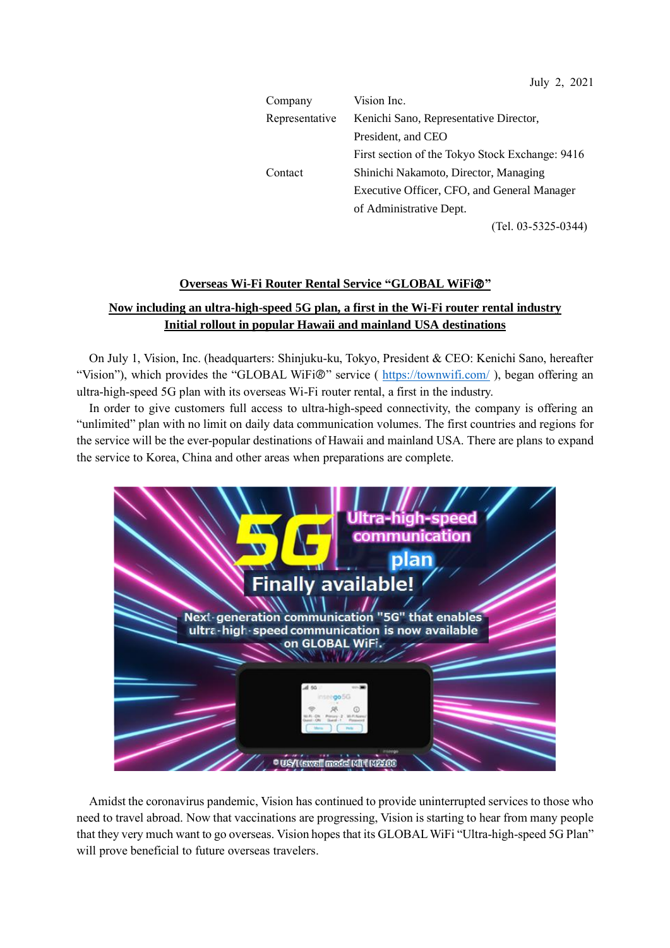| Company        | Vision Inc.                                     |
|----------------|-------------------------------------------------|
| Representative | Kenichi Sano, Representative Director,          |
|                | President, and CEO                              |
|                | First section of the Tokyo Stock Exchange: 9416 |
| Contact        | Shinichi Nakamoto, Director, Managing           |
|                | Executive Officer, CFO, and General Manager     |
|                | of Administrative Dept.                         |
|                | (Tel. 03-5325-0344)                             |

### **Overseas Wi-Fi Router Rental Service "GLOBAL WiFi"**

# **Now including an ultra-high-speed 5G plan, a first in the Wi-Fi router rental industry Initial rollout in popular Hawaii and mainland USA destinations**

On July 1, Vision, Inc. (headquarters: Shinjuku-ku, Tokyo, President & CEO: Kenichi Sano, hereafter "Vision"), which provides the "GLOBAL WiFi®" service ( <https://townwifi.com/>), began offering an ultra-high-speed 5G plan with its overseas Wi-Fi router rental, a first in the industry.

In order to give customers full access to ultra-high-speed connectivity, the company is offering an "unlimited" plan with no limit on daily data communication volumes. The first countries and regions for the service will be the ever-popular destinations of Hawaii and mainland USA. There are plans to expand the service to Korea, China and other areas when preparations are complete.



Amidst the coronavirus pandemic, Vision has continued to provide uninterrupted services to those who need to travel abroad. Now that vaccinations are progressing, Vision is starting to hear from many people that they very much want to go overseas. Vision hopes that its GLOBALWiFi "Ultra-high-speed 5G Plan" will prove beneficial to future overseas travelers.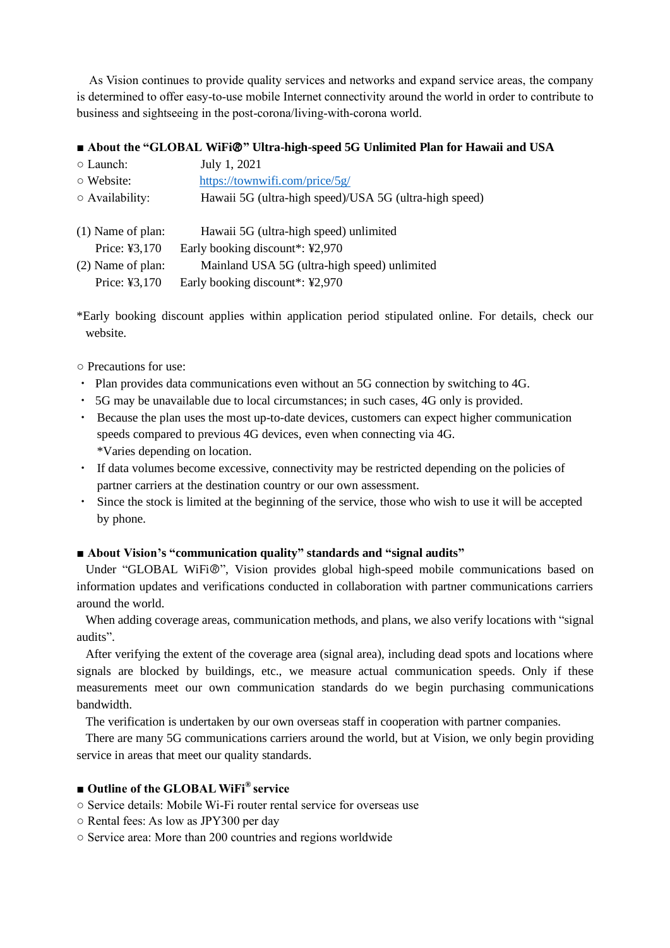As Vision continues to provide quality services and networks and expand service areas, the company is determined to offer easy-to-use mobile Internet connectivity around the world in order to contribute to business and sightseeing in the post-corona/living-with-corona world.

## **■ About the "GLOBAL WiFi" Ultra-high-speed 5G Unlimited Plan for Hawaii and USA**

| $\circ$ Launch:       | July 1, 2021                                           |
|-----------------------|--------------------------------------------------------|
| $\circ$ Website:      | https://townwifi.com/price/5g/                         |
| $\circ$ Availability: | Hawaii 5G (ultra-high speed)/USA 5G (ultra-high speed) |
|                       |                                                        |
| $(1)$ Name of plan:   | Hawaii 5G (ultra-high speed) unlimited                 |
| Price: ¥3,170         | Early booking discount*: ¥2,970                        |
| (2) Name of plan:     | Mainland USA 5G (ultra-high speed) unlimited           |
| Price: ¥3,170         | Early booking discount*: ¥2,970                        |
|                       |                                                        |

\*Early booking discount applies within application period stipulated online. For details, check our website.

○ Precautions for use:

- ・ Plan provides data communications even without an 5G connection by switching to 4G.
- ・ 5G may be unavailable due to local circumstances; in such cases, 4G only is provided.
- ・ Because the plan uses the most up-to-date devices, customers can expect higher communication speeds compared to previous 4G devices, even when connecting via 4G. \*Varies depending on location.
- ・ If data volumes become excessive, connectivity may be restricted depending on the policies of partner carriers at the destination country or our own assessment.
- ・ Since the stock is limited at the beginning of the service, those who wish to use it will be accepted by phone.

#### **■ About Vision's "communication quality" standards and "signal audits"**

Under "GLOBAL WiFi®", Vision provides global high-speed mobile communications based on information updates and verifications conducted in collaboration with partner communications carriers around the world.

When adding coverage areas, communication methods, and plans, we also verify locations with "signal audits".

After verifying the extent of the coverage area (signal area), including dead spots and locations where signals are blocked by buildings, etc., we measure actual communication speeds. Only if these measurements meet our own communication standards do we begin purchasing communications bandwidth.

The verification is undertaken by our own overseas staff in cooperation with partner companies.

There are many 5G communications carriers around the world, but at Vision, we only begin providing service in areas that meet our quality standards.

## **■ Outline of the GLOBAL WiFi® service**

- Service details: Mobile Wi-Fi router rental service for overseas use
- Rental fees: As low as JPY300 per day
- Service area: More than 200 countries and regions worldwide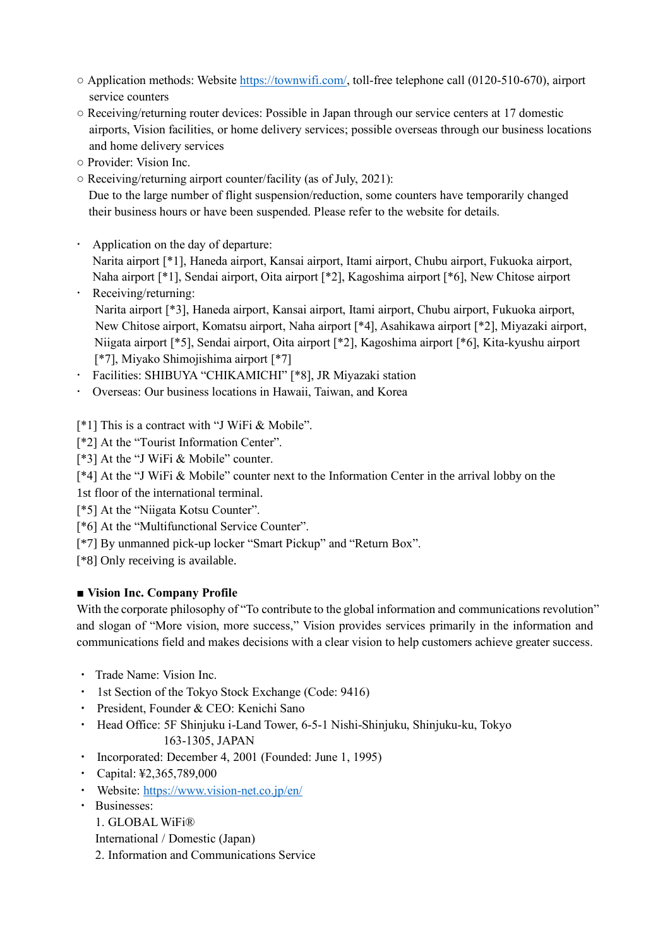- Application methods: Website [https://townwifi.com/,](https://townwifi.com/) toll-free telephone call (0120-510-670), airport service counters
- Receiving/returning router devices: Possible in Japan through our service centers at 17 domestic airports, Vision facilities, or home delivery services; possible overseas through our business locations and home delivery services
- Provider: Vision Inc.
- Receiving/returning airport counter/facility (as of July, 2021):

Due to the large number of flight suspension/reduction, some counters have temporarily changed their business hours or have been suspended. Please refer to the website for details.

Application on the day of departure:

Narita airport [\*1], Haneda airport, Kansai airport, Itami airport, Chubu airport, Fukuoka airport, Naha airport [\*1], Sendai airport, Oita airport [\*2], Kagoshima airport [\*6], New Chitose airport Receiving/returning:

- Narita airport [\*3], Haneda airport, Kansai airport, Itami airport, Chubu airport, Fukuoka airport, New Chitose airport, Komatsu airport, Naha airport [\*4], Asahikawa airport [\*2], Miyazaki airport, Niigata airport [\*5], Sendai airport, Oita airport [\*2], Kagoshima airport [\*6], Kita-kyushu airport [\*7], Miyako Shimojishima airport [\*7]
- Facilities: SHIBUYA "CHIKAMICHI" [\*8], JR Miyazaki station
- Overseas: Our business locations in Hawaii, Taiwan, and Korea

[\*1] This is a contract with "J WiFi & Mobile".

- [\*2] At the "Tourist Information Center".
- [\*3] At the "J WiFi & Mobile" counter.
- [\*4] At the "J WiFi & Mobile" counter next to the Information Center in the arrival lobby on the
- 1st floor of the international terminal.
- [\*5] At the "Niigata Kotsu Counter".
- [\*6] At the "Multifunctional Service Counter".
- [\*7] By unmanned pick-up locker "Smart Pickup" and "Return Box".

[\*8] Only receiving is available.

## **■ Vision Inc. Company Profile**

With the corporate philosophy of "To contribute to the global information and communications revolution" and slogan of "More vision, more success," Vision provides services primarily in the information and communications field and makes decisions with a clear vision to help customers achieve greater success.

- ・ Trade Name: Vision Inc.
- ・ 1st Section of the Tokyo Stock Exchange (Code: 9416)
- ・ President, Founder & CEO: Kenichi Sano
- ・ Head Office: 5F Shinjuku i-Land Tower, 6-5-1 Nishi-Shinjuku, Shinjuku-ku, Tokyo 163-1305, JAPAN
- ・ Incorporated: December 4, 2001 (Founded: June 1, 1995)
- ・ Capital: ¥2,365,789,000
- ・ Website: <https://www.vision-net.co.jp/en/>
- ・ Businesses:

1. GLOBAL WiFi®

International / Domestic (Japan)

2. Information and Communications Service